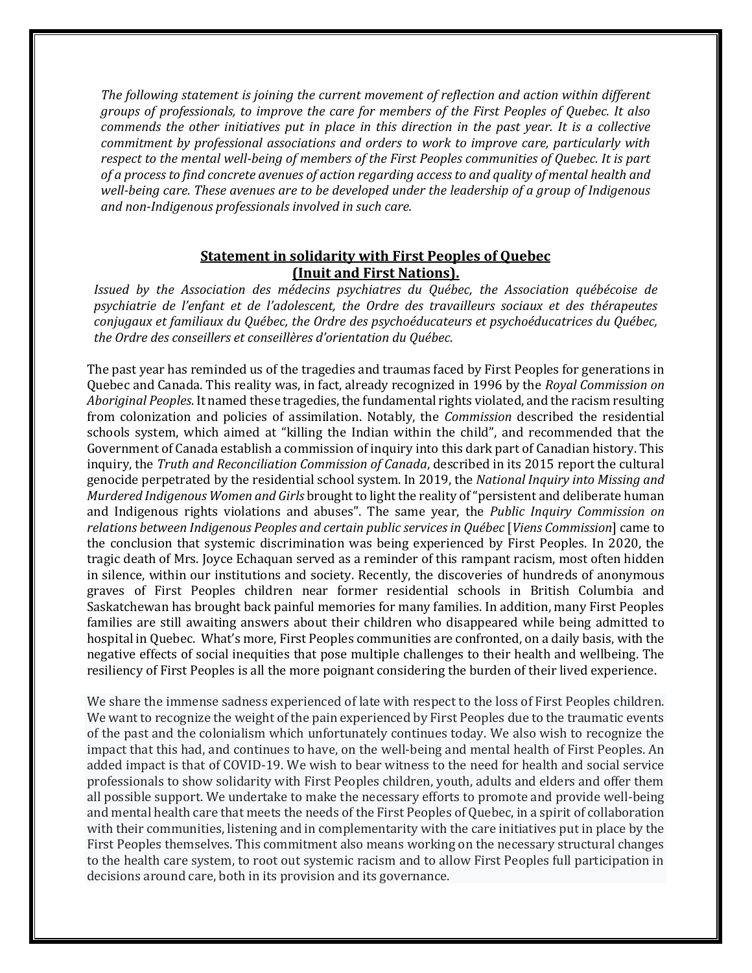*The following statement is joining the current movement of reflection and action within different groups of professionals, to improve the care for members of the First Peoples of Quebec. It also commends the other initiatives put in place in this direction in the past year. It is a collective commitment by professional associations and orders to work to improve care, particularly with respect to the mental well-being of members of the First Peoples communities of Quebec. It is part of a process to find concrete avenues of action regarding access to and quality of mental health and well-being care. These avenues are to be developed under the leadership of a group of Indigenous and non-Indigenous professionals involved in such care.*

## **Statement in solidarity with First Peoples of Quebec (Inuit and First Nations).**

*Issued by the Association des médecins psychiatres du Québec, the Association québécoise de psychiatrie de l'enfant et de l'adolescent, the Ordre des travailleurs sociaux et des thérapeutes conjugaux et familiaux du Québec, the Ordre des psychoéducateurs et psychoéducatrices du Québec, the Ordre des conseillers et conseillères d'orientation du Québec.*

The past year has reminded us of the tragedies and traumas faced by First Peoples for generations in Quebec and Canada. This reality was, in fact, already recognized in 1996 by the *Royal Commission on Aboriginal Peoples*. It named these tragedies, the fundamental rights violated, and the racism resulting from colonization and policies of assimilation. Notably, the *Commission* described the residential schools system, which aimed at "killing the Indian within the child", and recommended that the Government of Canada establish a commission of inquiry into this dark part of Canadian history. This inquiry, the *Truth and Reconciliation Commission of Canada*, described in its 2015 report the cultural genocide perpetrated by the residential school system. In 2019, the *National Inquiry into Missing and Murdered Indigenous Women and Girls* brought to light the reality of "persistent and deliberate human and Indigenous rights violations and abuses". The same year, the *Public Inquiry Commission on relations between Indigenous Peoples and certain public services in Québec* [*Viens Commission*] came to the conclusion that systemic discrimination was being experienced by First Peoples. In 2020, the tragic death of Mrs. Joyce Echaquan served as a reminder of this rampant racism, most often hidden in silence, within our institutions and society. Recently, the discoveries of hundreds of anonymous graves of First Peoples children near former residential schools in British Columbia and Saskatchewan has brought back painful memories for many families. In addition, many First Peoples families are still awaiting answers about their children who disappeared while being admitted to hospital in Quebec. What's more, First Peoples communities are confronted, on a daily basis, with the negative effects of social inequities that pose multiple challenges to their health and wellbeing. The resiliency of First Peoples is all the more poignant considering the burden of their lived experience.

We share the immense sadness experienced of late with respect to the loss of First Peoples children. We want to recognize the weight of the pain experienced by First Peoples due to the traumatic events of the past and the colonialism which unfortunately continues today. We also wish to recognize the impact that this had, and continues to have, on the well-being and mental health of First Peoples. An added impact is that of COVID-19. We wish to bear witness to the need for health and social service professionals to show solidarity with First Peoples children, youth, adults and elders and offer them all possible support. We undertake to make the necessary efforts to promote and provide well-being and mental health care that meets the needs of the First Peoples of Quebec, in a spirit of collaboration with their communities, listening and in complementarity with the care initiatives put in place by the First Peoples themselves. This commitment also means working on the necessary structural changes to the health care system, to root out systemic racism and to allow First Peoples full participation in decisions around care, both in its provision and its governance.